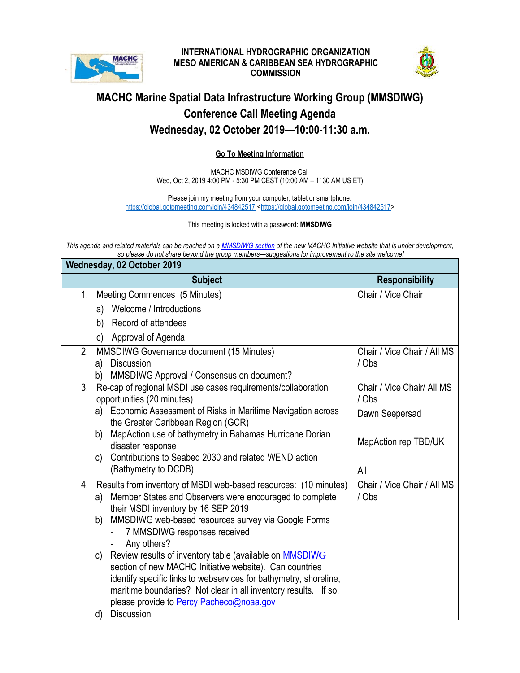

## **INTERNATIONAL HYDROGRAPHIC ORGANIZATION MESO AMERICAN & CARIBBEAN SEA HYDROGRAPHIC COMMISSION**



## **MACHC Marine Spatial Data Infrastructure Working Group (MMSDIWG) Conference Call Meeting Agenda Wednesday, 02 October 2019—10:00-11:30 a.m.**

## **Go To Meeting Information**

MACHC MSDIWG Conference Call Wed, Oct 2, 2019 4:00 PM - 5:30 PM CEST (10:00 AM – 1130 AM US ET)

Please join my meeting from your computer, tablet or smartphone. <https://global.gotomeeting.com/join/434842517> [<https://global.gotomeeting.com/join/434842517>](https://global.gotomeeting.com/join/434842517)

## This meeting is locked with a password: **MMSDIWG**

*This agenda and related materials can be reached on a [MMSDIWG](https://ocsihomachcaseus2-dev.azurewebsites.net/bootstrap/mmsdiwg.html) section of the new MACHC Initiative website that is under development, so please do not share beyond the group members—suggestions for improvement ro the site welcome!* 

| Wednesday, 02 October 2019                                                                          |                                     |
|-----------------------------------------------------------------------------------------------------|-------------------------------------|
| <b>Subject</b>                                                                                      | <b>Responsibility</b>               |
| Meeting Commences (5 Minutes)<br>1.                                                                 | Chair / Vice Chair                  |
| a) Welcome / Introductions                                                                          |                                     |
| Record of attendees<br>b)                                                                           |                                     |
| Approval of Agenda<br>c)                                                                            |                                     |
| MMSDIWG Governance document (15 Minutes)<br>2.                                                      | Chair / Vice Chair / All MS         |
| <b>Discussion</b><br>a)                                                                             | / Obs                               |
| MMSDIWG Approval / Consensus on document?<br>b)                                                     |                                     |
| 3.<br>Re-cap of regional MSDI use cases requirements/collaboration<br>opportunities (20 minutes)    | Chair / Vice Chair/ All MS<br>/ Obs |
| a) Economic Assessment of Risks in Maritime Navigation across<br>the Greater Caribbean Region (GCR) | Dawn Seepersad                      |
| MapAction use of bathymetry in Bahamas Hurricane Dorian<br>b)<br>disaster response                  | MapAction rep TBD/UK                |
| Contributions to Seabed 2030 and related WEND action<br>C)                                          |                                     |
| (Bathymetry to DCDB)                                                                                | All                                 |
| Results from inventory of MSDI web-based resources: (10 minutes)<br>4.                              | Chair / Vice Chair / All MS         |
| Member States and Observers were encouraged to complete<br>a)                                       | / Obs                               |
| their MSDI inventory by 16 SEP 2019<br>MMSDIWG web-based resources survey via Google Forms<br>b)    |                                     |
| 7 MMSDIWG responses received                                                                        |                                     |
| Any others?                                                                                         |                                     |
| Review results of inventory table (available on <b>MMSDIWG</b><br>c)                                |                                     |
| section of new MACHC Initiative website). Can countries                                             |                                     |
| identify specific links to webservices for bathymetry, shoreline,                                   |                                     |
| maritime boundaries? Not clear in all inventory results. If so,                                     |                                     |
| please provide to <b>Percy. Pacheco@noaa.gov</b>                                                    |                                     |
| <b>Discussion</b><br>d)                                                                             |                                     |